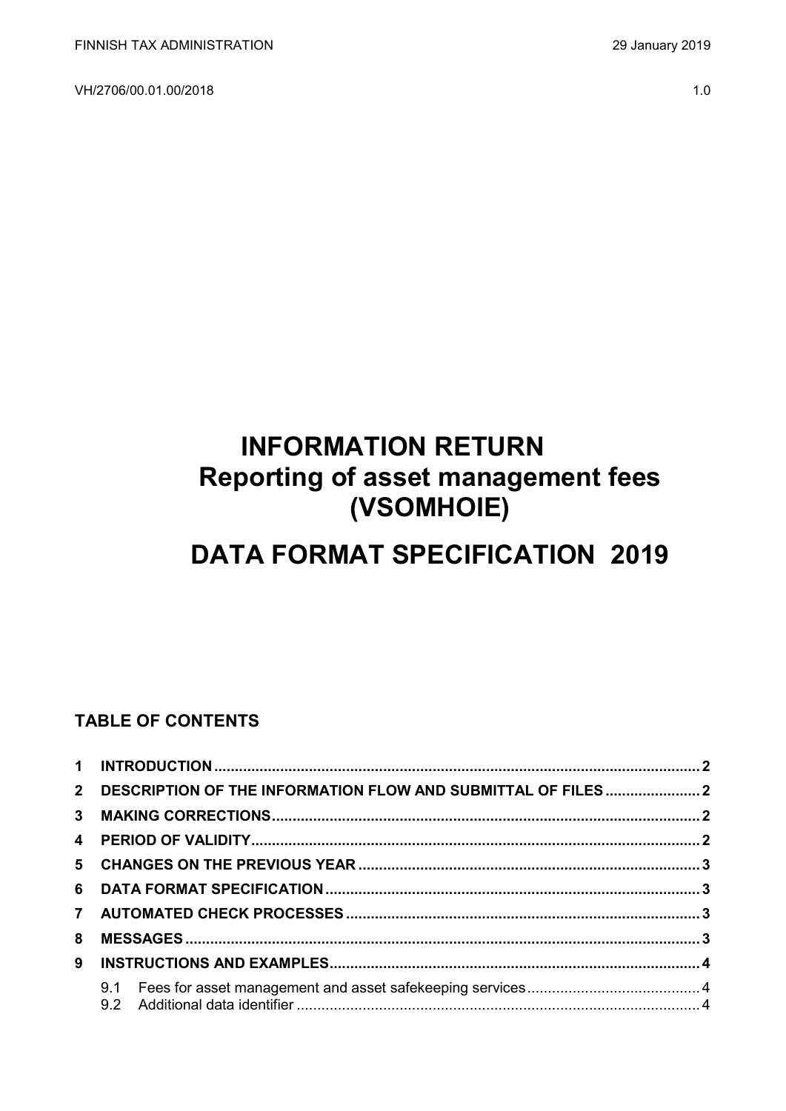VH/2706/00.01.00/2018 1.0

# **INFORMATION RETURN Reporting of asset management fees (VSOMHOIE)**

# **DATA FORMAT SPECIFICATION 2019**

# **TABLE OF CONTENTS**

| 8 |  |  |  |  |  |  |
|---|--|--|--|--|--|--|
|   |  |  |  |  |  |  |
|   |  |  |  |  |  |  |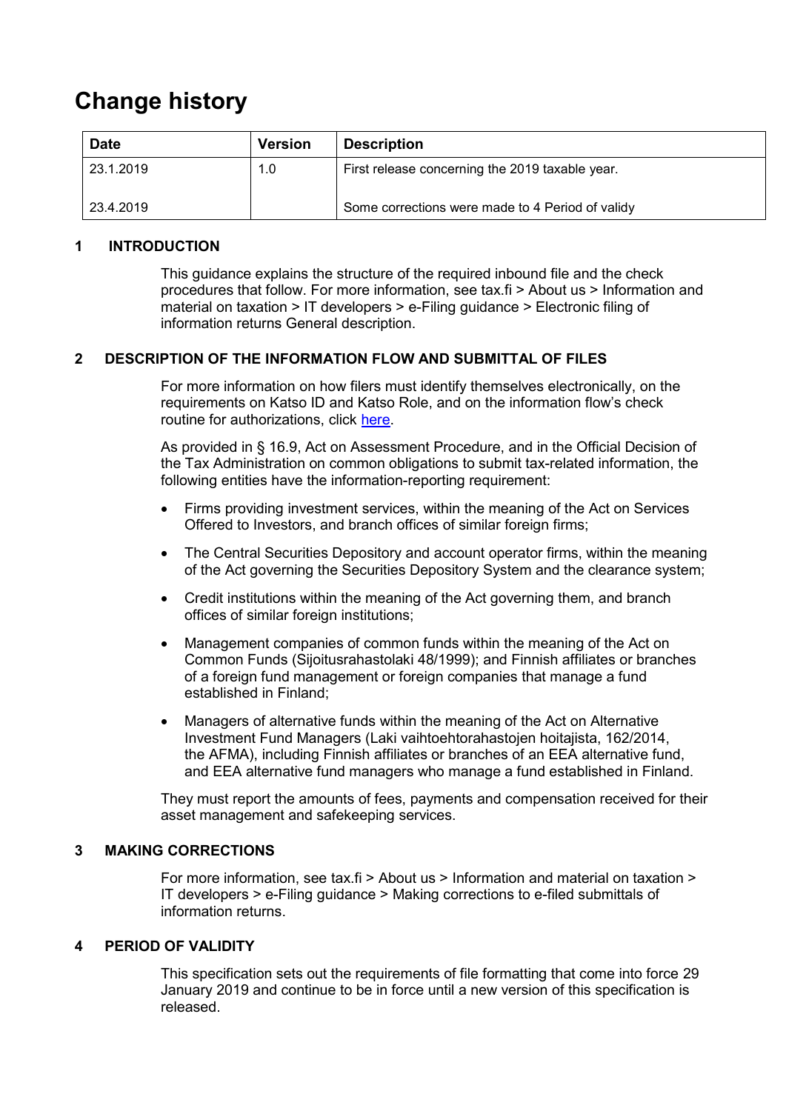# **Change history**

| <b>Date</b> | <b>Version</b> | <b>Description</b>                               |
|-------------|----------------|--------------------------------------------------|
| 23.1.2019   | 1.0            | First release concerning the 2019 taxable year.  |
| 23.4.2019   |                | Some corrections were made to 4 Period of validy |

#### <span id="page-1-0"></span>**1 INTRODUCTION**

This guidance explains the structure of the required inbound file and the check procedures that follow. For more information, see tax.fi > About us > Information and material on taxation > IT developers > e-Filing guidance > Electronic filing of information returns General description.

### <span id="page-1-1"></span>**2 DESCRIPTION OF THE INFORMATION FLOW AND SUBMITTAL OF FILES**

For more information on how filers must identify themselves electronically, on the requirements on Katso ID and Katso Role, and on the information flow's check routine for authorizations, click [here.](https://www.ilmoitin.fi/webtamo/sivut/IlmoituslajiRoolit?kieli=en&tv=VSOMHOIE)

As provided in § 16.9, Act on Assessment Procedure, and in the Official Decision of the Tax Administration on common obligations to submit tax-related information, the following entities have the information-reporting requirement:

- Firms providing investment services, within the meaning of the Act on Services Offered to Investors, and branch offices of similar foreign firms;
- The Central Securities Depository and account operator firms, within the meaning of the Act governing the Securities Depository System and the clearance system;
- Credit institutions within the meaning of the Act governing them, and branch offices of similar foreign institutions;
- Management companies of common funds within the meaning of the Act on Common Funds (Sijoitusrahastolaki 48/1999); and Finnish affiliates or branches of a foreign fund management or foreign companies that manage a fund established in Finland;
- Managers of alternative funds within the meaning of the Act on Alternative Investment Fund Managers (Laki vaihtoehtorahastojen hoitajista, 162/2014, the AFMA), including Finnish affiliates or branches of an EEA alternative fund, and EEA alternative fund managers who manage a fund established in Finland.

They must report the amounts of fees, payments and compensation received for their asset management and safekeeping services.

#### <span id="page-1-2"></span>**3 MAKING CORRECTIONS**

For more information, see tax.fi > About us > Information and material on taxation > IT developers > e-Filing guidance > Making corrections to e-filed submittals of information returns.

# <span id="page-1-3"></span>**4 PERIOD OF VALIDITY**

This specification sets out the requirements of file formatting that come into force 29 January 2019 and continue to be in force until a new version of this specification is released.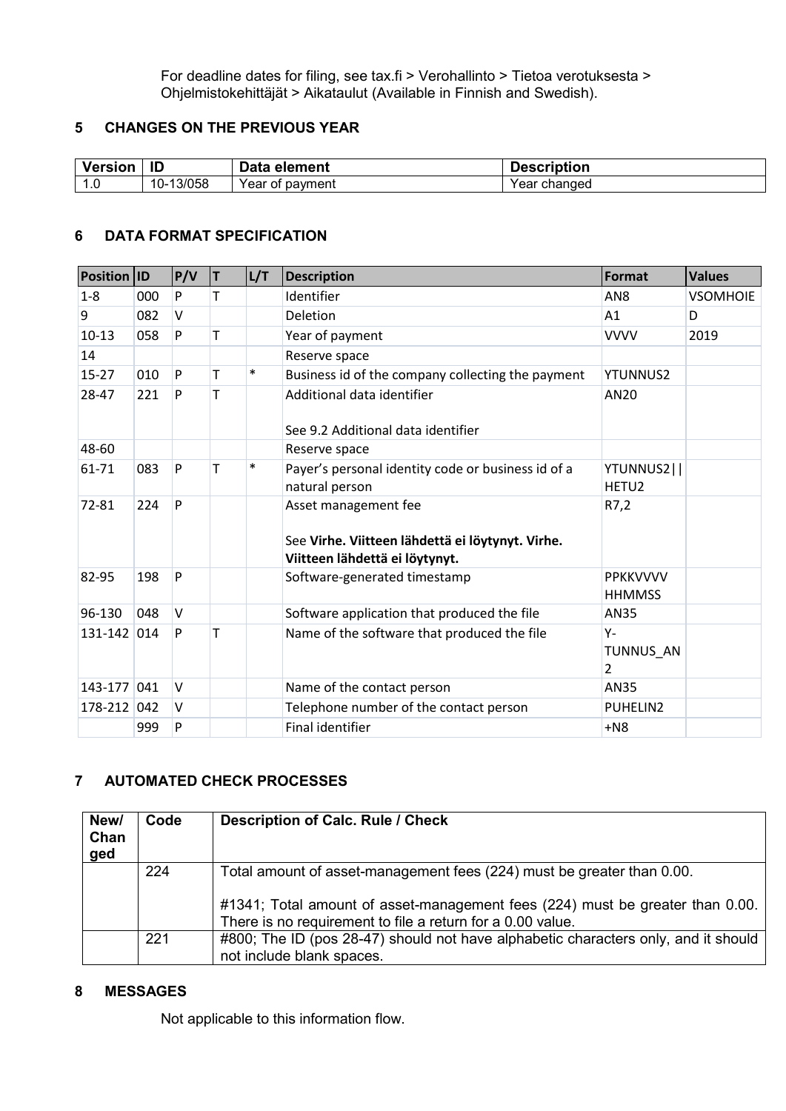For deadline dates for filing, see tax.fi > Verohallinto > Tietoa verotuksesta > Ohjelmistokehittäjät > Aikataulut (Available in Finnish and Swedish).

## <span id="page-2-0"></span>**5 CHANGES ON THE PREVIOUS YEAR**

| <b>Version</b> | ID                | Table 1<br>element<br>Dala   | <b>Description</b> |
|----------------|-------------------|------------------------------|--------------------|
| -<br>1. U      | 13/058<br>$10-$ . | Voor<br>payment<br>ΟĪ<br>cal | changed<br>ear     |

#### <span id="page-2-1"></span>**6 DATA FORMAT SPECIFICATION**

| <b>Position ID</b> |     | P/V    | T | L/T    | <b>Description</b>                                                                                         | Format                            | <b>Values</b>   |
|--------------------|-----|--------|---|--------|------------------------------------------------------------------------------------------------------------|-----------------------------------|-----------------|
| $1 - 8$            | 000 | P      | T |        | Identifier                                                                                                 | AN <sub>8</sub>                   | <b>VSOMHOIE</b> |
| 9                  | 082 | $\vee$ |   |        | Deletion                                                                                                   | A <sub>1</sub>                    | D               |
| $10-13$            | 058 | P      | T |        | Year of payment                                                                                            | <b>VVVV</b>                       | 2019            |
| 14                 |     |        |   |        | Reserve space                                                                                              |                                   |                 |
| $15 - 27$          | 010 | P      | Т | $\ast$ | Business id of the company collecting the payment                                                          | <b>YTUNNUS2</b>                   |                 |
| 28-47              | 221 | P      | T |        | Additional data identifier<br>See 9.2 Additional data identifier                                           | AN20                              |                 |
| 48-60              |     |        |   |        | Reserve space                                                                                              |                                   |                 |
| 61-71              | 083 | P      | T | $\ast$ | Payer's personal identity code or business id of a<br>natural person                                       | YTUNNUS2  <br>HETU <sub>2</sub>   |                 |
| 72-81              | 224 | P      |   |        | Asset management fee<br>See Virhe. Viitteen lähdettä ei löytynyt. Virhe.<br>Viitteen lähdettä ei löytynyt. | R7,2                              |                 |
| 82-95              | 198 | P      |   |        | Software-generated timestamp                                                                               | <b>PPKKVVVV</b><br><b>HHMMSS</b>  |                 |
| 96-130             | 048 | $\vee$ |   |        | Software application that produced the file                                                                | AN35                              |                 |
| 131-142 014        |     | P      | т |        | Name of the software that produced the file                                                                | Υ-<br>TUNNUS AN<br>$\overline{2}$ |                 |
| 143-177 041        |     | $\vee$ |   |        | Name of the contact person                                                                                 | AN35                              |                 |
| 178-212            | 042 | v      |   |        | Telephone number of the contact person                                                                     | PUHELIN2                          |                 |
|                    | 999 | P      |   |        | Final identifier                                                                                           | $+NS$                             |                 |

#### <span id="page-2-2"></span>**7 AUTOMATED CHECK PROCESSES**

| New/<br>Chan<br>ged | Code | Description of Calc. Rule / Check                                                                                                                                                                                     |
|---------------------|------|-----------------------------------------------------------------------------------------------------------------------------------------------------------------------------------------------------------------------|
|                     | 224  | Total amount of asset-management fees (224) must be greater than 0.00.<br>#1341; Total amount of asset-management fees (224) must be greater than 0.00.<br>There is no requirement to file a return for a 0.00 value. |
|                     | 221  | #800; The ID (pos 28-47) should not have alphabetic characters only, and it should<br>not include blank spaces.                                                                                                       |

### <span id="page-2-3"></span>**8 MESSAGES**

Not applicable to this information flow.